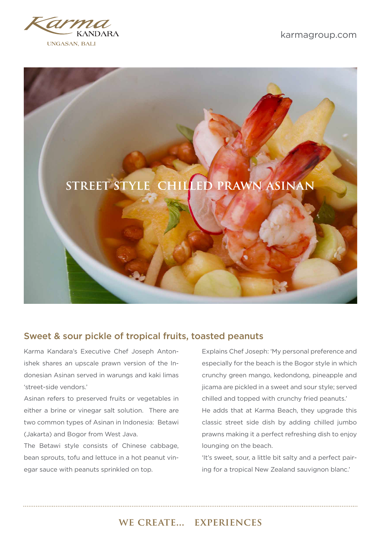

karmagroup.com



## Sweet & sour pickle of tropical fruits, toasted peanuts

Karma Kandara's Executive Chef Joseph Antonishek shares an upscale prawn version of the Indonesian Asinan served in warungs and kaki limas 'street-side vendors.'

Asinan refers to preserved fruits or vegetables in either a brine or vinegar salt solution. There are two common types of Asinan in Indonesia: Betawi (Jakarta) and Bogor from West Java.

The Betawi style consists of Chinese cabbage, bean sprouts, tofu and lettuce in a hot peanut vinegar sauce with peanuts sprinkled on top.

Explains Chef Joseph: 'My personal preference and especially for the beach is the Bogor style in which crunchy green mango, kedondong, pineapple and jicama are pickled in a sweet and sour style; served chilled and topped with crunchy fried peanuts.' He adds that at Karma Beach, they upgrade this classic street side dish by adding chilled jumbo prawns making it a perfect refreshing dish to enjoy lounging on the beach.

'It's sweet, sour, a little bit salty and a perfect pairing for a tropical New Zealand sauvignon blanc.'

## we create... experiences